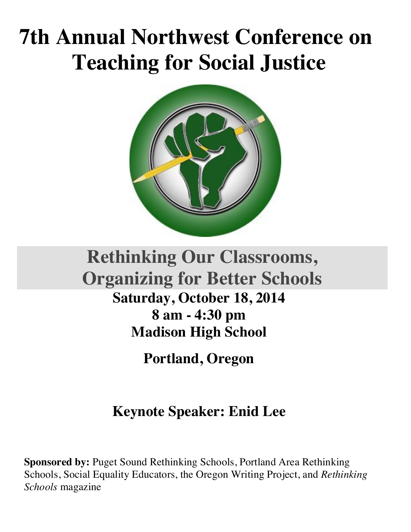# **7th Annual Northwest Conference on Teaching for Social Justice**



## **Rethinking Our Classrooms, Organizing for Better Schools Saturday, October 18, 2014**

**8 am - 4:30 pm Madison High School** 

**Portland, Oregon**

### **Keynote Speaker: Enid Lee**

**Sponsored by:** Puget Sound Rethinking Schools, Portland Area Rethinking Schools, Social Equality Educators, the Oregon Writing Project, and *Rethinking Schools* magazine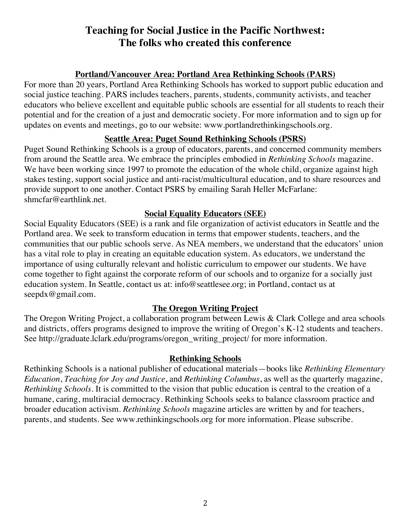### **Teaching for Social Justice in the Pacific Northwest: The folks who created this conference**

#### **Portland/Vancouver Area: Portland Area Rethinking Schools (PARS)**

For more than 20 years, Portland Area Rethinking Schools has worked to support public education and social justice teaching. PARS includes teachers, parents, students, community activists, and teacher educators who believe excellent and equitable public schools are essential for all students to reach their potential and for the creation of a just and democratic society. For more information and to sign up for updates on events and meetings, go to our website: www.portlandrethinkingschools.org.

#### **Seattle Area: Puget Sound Rethinking Schools (PSRS)**

Puget Sound Rethinking Schools is a group of educators, parents, and concerned community members from around the Seattle area. We embrace the principles embodied in *Rethinking Schools* magazine. We have been working since 1997 to promote the education of the whole child, organize against high stakes testing, support social justice and anti-racist/multicultural education, and to share resources and provide support to one another. Contact PSRS by emailing Sarah Heller McFarlane: shmcfar@earthlink.net.

#### **Social Equality Educators (SEE)**

Social Equality Educators (SEE) is a rank and file organization of activist educators in Seattle and the Portland area. We seek to transform education in terms that empower students, teachers, and the communities that our public schools serve. As NEA members, we understand that the educators' union has a vital role to play in creating an equitable education system. As educators, we understand the importance of using culturally relevant and holistic curriculum to empower our students. We have come together to fight against the corporate reform of our schools and to organize for a socially just education system. In Seattle, contact us at: info@seattlesee.org; in Portland, contact us at seepdx@gmail.com.

#### **The Oregon Writing Project**

The Oregon Writing Project, a collaboration program between Lewis & Clark College and area schools and districts, offers programs designed to improve the writing of Oregon's K-12 students and teachers. See http://graduate.lclark.edu/programs/oregon\_writing\_project/ for more information.

#### **Rethinking Schools**

Rethinking Schools is a national publisher of educational materials—books like *Rethinking Elementary Education*, *Teaching for Joy and Justice*, and *Rethinking Columbus*, as well as the quarterly magazine, *Rethinking Schools*. It is committed to the vision that public education is central to the creation of a humane, caring, multiracial democracy. Rethinking Schools seeks to balance classroom practice and broader education activism. *Rethinking Schools* magazine articles are written by and for teachers, parents, and students. See www.rethinkingschools.org for more information. Please subscribe.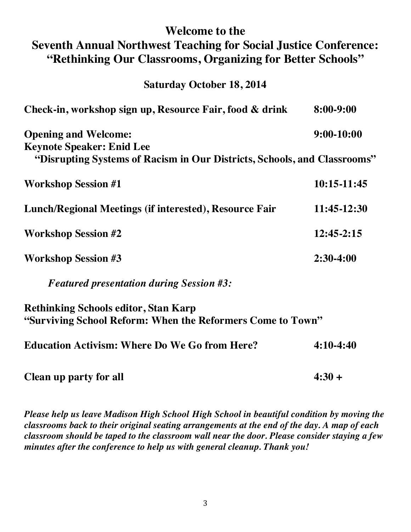### **Welcome to the Seventh Annual Northwest Teaching for Social Justice Conference: "Rethinking Our Classrooms, Organizing for Better Schools"**

**Saturday October 18, 2014**

| Check-in, workshop sign up, Resource Fair, food & drink                  | 8:00-9:00      |
|--------------------------------------------------------------------------|----------------|
| <b>Opening and Welcome:</b>                                              | $9:00-10:00$   |
| <b>Keynote Speaker: Enid Lee</b>                                         |                |
| "Disrupting Systems of Racism in Our Districts, Schools, and Classrooms" |                |
| <b>Workshop Session #1</b>                                               | $10:15-11:45$  |
| Lunch/Regional Meetings (if interested), Resource Fair                   | 11:45-12:30    |
| <b>Workshop Session #2</b>                                               | $12:45 - 2:15$ |
| <b>Workshop Session #3</b>                                               | $2:30-4:00$    |
| <b>Featured presentation during Session #3:</b>                          |                |
| <b>Rethinking Schools editor, Stan Karp</b>                              |                |
| "Surviving School Reform: When the Reformers Come to Town"               |                |
| <b>Education Activism: Where Do We Go from Here?</b>                     | $4:10-4:40$    |
| <b>Clean up party for all</b>                                            | $4:30 +$       |

*Please help us leave Madison High School High School in beautiful condition by moving the classrooms back to their original seating arrangements at the end of the day. A map of each classroom should be taped to the classroom wall near the door. Please consider staying a few minutes after the conference to help us with general cleanup. Thank you!*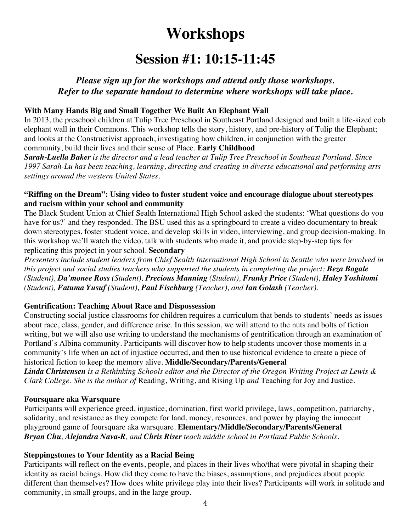### **Workshops**

### **Session #1: 10:15-11:45**

#### *Please sign up for the workshops and attend only those workshops. Refer to the separate handout to determine where workshops will take place.*

#### **With Many Hands Big and Small Together We Built An Elephant Wall**

In 2013, the preschool children at Tulip Tree Preschool in Southeast Portland designed and built a life-sized cob elephant wall in their Commons. This workshop tells the story, history, and pre-history of Tulip the Elephant; and looks at the Constructivist approach, investigating how children, in conjunction with the greater community, build their lives and their sense of Place. **Early Childhood**

*Sarah-Luella Baker is the director and a lead teacher at Tulip Tree Preschool in Southeast Portland. Since 1997 Sarah-Lu has been teaching, learning, directing and creating in diverse educational and performing arts settings around the western United States.* 

#### **"Riffing on the Dream": Using video to foster student voice and encourage dialogue about stereotypes and racism within your school and community**

The Black Student Union at Chief Sealth International High School asked the students: 'What questions do you have for us?' and they responded. The BSU used this as a springboard to create a video documentary to break down stereotypes, foster student voice, and develop skills in video, interviewing, and group decision-making. In this workshop we'll watch the video, talk with students who made it, and provide step-by-step tips for replicating this project in your school. **Secondary** 

*Presenters include student leaders from Chief Sealth International High School in Seattle who were involved in this project and social studies teachers who supported the students in completing the project: Beza Bogale (Student), Da'monee Ross (Student), Precious Manning (Student), Franky Price (Student), Haley Yoshitomi (Student), Fatuma Yusuf (Student), Paul Fischburg (Teacher), and Ian Golash (Teacher).*

#### **Gentrification: Teaching About Race and Dispossession**

Constructing social justice classrooms for children requires a curriculum that bends to students' needs as issues about race, class, gender, and difference arise. In this session, we will attend to the nuts and bolts of fiction writing, but we will also use writing to understand the mechanisms of gentrification through an examination of Portland's Albina community. Participants will discover how to help students uncover those moments in a community's life when an act of injustice occurred, and then to use historical evidence to create a piece of historical fiction to keep the memory alive. **Middle/Secondary/Parents/General**

*Linda Christensen is a Rethinking Schools editor and the Director of the Oregon Writing Project at Lewis & Clark College. She is the author of* Reading, Writing, and Rising Up *and* Teaching for Joy and Justice.

#### **Foursquare aka Warsquare**

Participants will experience greed, injustice, domination, first world privilege, laws, competition, patriarchy, solidarity, and resistance as they compete for land, money, resources, and power by playing the innocent playground game of foursquare aka warsquare. **Elementary/Middle/Secondary/Parents/General** *Bryan Chu, Alejandra Nava-R, and Chris Riser teach middle school in Portland Public Schools.*

#### **Steppingstones to Your Identity as a Racial Being**

Participants will reflect on the events, people, and places in their lives who/that were pivotal in shaping their identity as racial beings. How did they come to have the biases, assumptions, and prejudices about people different than themselves? How does white privilege play into their lives? Participants will work in solitude and community, in small groups, and in the large group.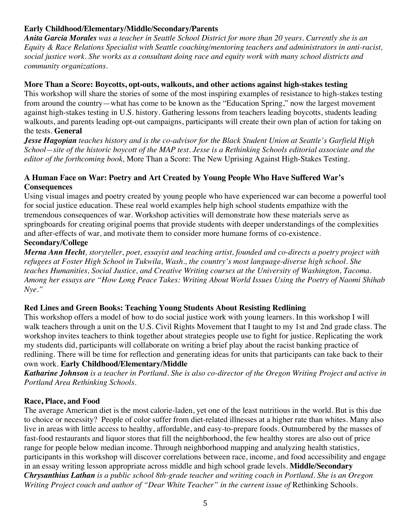#### **Early Childhood/Elementary/Middle/Secondary/Parents**

*Anita Garcia Morales was a teacher in Seattle School District for more than 20 years. Currently she is an Equity & Race Relations Specialist with Seattle coaching/mentoring teachers and administrators in anti-racist, social justice work. She works as a consultant doing race and equity work with many school districts and community organizations.*

#### **More Than a Score: Boycotts, opt-outs, walkouts, and other actions against high-stakes testing**

This workshop will share the stories of some of the most inspiring examples of resistance to high-stakes testing from around the country—what has come to be known as the "Education Spring," now the largest movement against high-stakes testing in U.S. history. Gathering lessons from teachers leading boycotts, students leading walkouts, and parents leading opt-out campaigns, participants will create their own plan of action for taking on the tests. **General**

*Jesse Hagopian teaches history and is the co-advisor for the Black Student Union at Seattle's Garfield High School—site of the historic boycott of the MAP test. Jesse is a Rethinking Schools editorial associate and the editor of the forthcoming book,* More Than a Score: The New Uprising Against High-Stakes Testing*.*

#### **A Human Face on War: Poetry and Art Created by Young People Who Have Suffered War's Consequences**

Using visual images and poetry created by young people who have experienced war can become a powerful tool for social justice education. These real world examples help high school students empathize with the tremendous consequences of war. Workshop activities will demonstrate how these materials serve as springboards for creating original poems that provide students with deeper understandings of the complexities and after-effects of war, and motivate them to consider more humane forms of co-existence.

#### **Secondary/College**

*Merna Ann Hecht, storyteller, poet, essayist and teaching artist, founded and co-directs a poetry project with refugees at Foster High School in Tukwila, Wash., the country's most language-diverse high school. She teaches Humanities, Social Justice, and Creative Writing courses at the University of Washington, Tacoma. Among her essays are "How Long Peace Takes: Writing About World Issues Using the Poetry of Naomi Shihab Nye."* 

#### **Red Lines and Green Books: Teaching Young Students About Resisting Redlining**

This workshop offers a model of how to do social justice work with young learners. In this workshop I will walk teachers through a unit on the U.S. Civil Rights Movement that I taught to my 1st and 2nd grade class. The workshop invites teachers to think together about strategies people use to fight for justice. Replicating the work my students did, participants will collaborate on writing a brief play about the racist banking practice of redlining. There will be time for reflection and generating ideas for units that participants can take back to their own work. **Early Childhood/Elementary/Middle**

#### *Katharine Johnson is a teacher in Portland. She is also co-director of the Oregon Writing Project and active in Portland Area Rethinking Schools.*

#### **Race, Place, and Food**

The average American diet is the most calorie-laden, yet one of the least nutritious in the world. But is this due to choice or necessity? People of color suffer from diet-related illnesses at a higher rate than whites. Many also live in areas with little access to healthy, affordable, and easy-to-prepare foods. Outnumbered by the masses of fast-food restaurants and liquor stores that fill the neighborhood, the few healthy stores are also out of price range for people below median income. Through neighborhood mapping and analyzing health statistics, participants in this workshop will discover correlations between race, income, and food accessibility and engage in an essay writing lesson appropriate across middle and high school grade levels. **Middle/Secondary** *Chrysanthius Lathan is a public school 8th-grade teacher and writing coach in Portland. She is an Oregon Writing Project coach and author of "Dear White Teacher" in the current issue of Rethinking Schools.*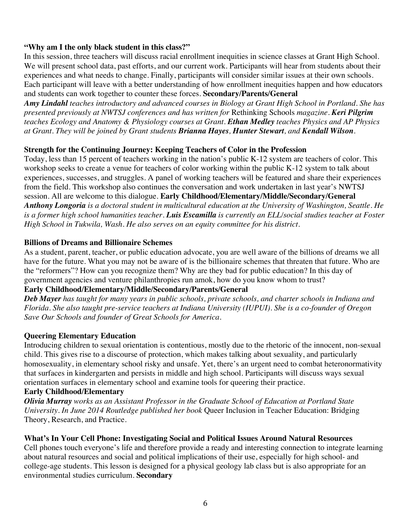#### **"Why am I the only black student in this class?"**

In this session, three teachers will discuss racial enrollment inequities in science classes at Grant High School. We will present school data, past efforts, and our current work. Participants will hear from students about their experiences and what needs to change. Finally, participants will consider similar issues at their own schools. Each participant will leave with a better understanding of how enrollment inequities happen and how educators and students can work together to counter these forces. **Secondary/Parents/General**

*Amy Lindahl teaches introductory and advanced courses in Biology at Grant High School in Portland. She has presented previously at NWTSJ conferences and has written for* Rethinking Schools *magazine. Keri Pilgrim teaches Ecology and Anatomy & Physiology courses at Grant. Ethan Medley teaches Physics and AP Physics at Grant. They will be joined by Grant students Brianna Hayes, Hunter Stewart, and Kendall Wilson.*

#### **Strength for the Continuing Journey: Keeping Teachers of Color in the Profession**

Today, less than 15 percent of teachers working in the nation's public K-12 system are teachers of color. This workshop seeks to create a venue for teachers of color working within the public K-12 system to talk about experiences, successes, and struggles. A panel of working teachers will be featured and share their experiences from the field. This workshop also continues the conversation and work undertaken in last year's NWTSJ session. All are welcome to this dialogue. **Early Childhood/Elementary/Middle/Secondary/General** *Anthony Longoria is a doctoral student in multicultural education at the University of Washington, Seattle. He is a former high school humanities teacher. Luis Escamilla is currently an ELL/social studies teacher at Foster High School in Tukwila, Wash. He also serves on an equity committee for his district.*

#### **Billions of Dreams and Billionaire Schemes**

As a student, parent, teacher, or public education advocate, you are well aware of the billions of dreams we all have for the future. What you may not be aware of is the billionaire schemes that threaten that future. Who are the "reformers"? How can you recognize them? Why are they bad for public education? In this day of government agencies and venture philanthropies run amok, how do you know whom to trust?

#### **Early Childhood/Elementary/Middle/Secondary/Parents/General**

*Deb Mayer has taught for many years in public schools, private schools, and charter schools in Indiana and Florida. She also taught pre-service teachers at Indiana University (IUPUI). She is a co-founder of Oregon Save Our Schools and founder of Great Schools for America.*

#### **Queering Elementary Education**

Introducing children to sexual orientation is contentious, mostly due to the rhetoric of the innocent, non-sexual child. This gives rise to a discourse of protection, which makes talking about sexuality, and particularly homosexuality, in elementary school risky and unsafe. Yet, there's an urgent need to combat heteronormativity that surfaces in kindergarten and persists in middle and high school. Participants will discuss ways sexual orientation surfaces in elementary school and examine tools for queering their practice.

#### **Early Childhood/Elementary**

*Olivia Murray works as an Assistant Professor in the Graduate School of Education at Portland State University. In June 2014 Routledge published her book* Queer Inclusion in Teacher Education: Bridging Theory, Research, and Practice.

#### **What's In Your Cell Phone: Investigating Social and Political Issues Around Natural Resources**

Cell phones touch everyone's life and therefore provide a ready and interesting connection to integrate learning about natural resources and social and political implications of their use, especially for high school- and college-age students. This lesson is designed for a physical geology lab class but is also appropriate for an environmental studies curriculum. **Secondary**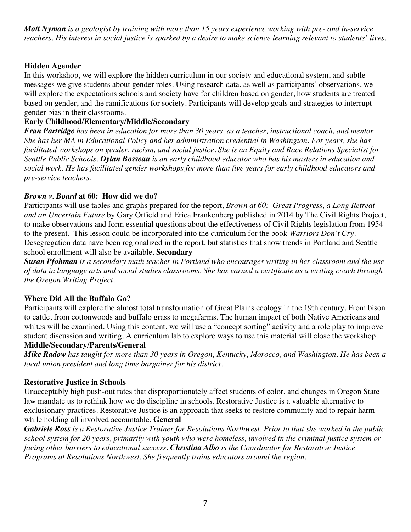*Matt Nyman is a geologist by training with more than 15 years experience working with pre- and in-service teachers. His interest in social justice is sparked by a desire to make science learning relevant to students' lives.*

#### **Hidden Agender**

In this workshop, we will explore the hidden curriculum in our society and educational system, and subtle messages we give students about gender roles. Using research data, as well as participants' observations, we will explore the expectations schools and society have for children based on gender, how students are treated based on gender, and the ramifications for society. Participants will develop goals and strategies to interrupt gender bias in their classrooms.

#### **Early Childhood/Elementary/Middle/Secondary**

*Fran Partridge has been in education for more than 30 years, as a teacher, instructional coach, and mentor. She has her MA in Educational Policy and her administration credential in Washington. For years, she has facilitated workshops on gender, racism, and social justice. She is an Equity and Race Relations Specialist for Seattle Public Schools. Dylan Bosseau is an early childhood educator who has his masters in education and social work. He has facilitated gender workshops for more than five years for early childhood educators and pre-service teachers.* 

#### *Brown v. Board* **at 60: How did we do?**

Participants will use tables and graphs prepared for the report, *Brown at 60: Great Progress, a Long Retreat and an Uncertain Future* by Gary Orfield and Erica Frankenberg published in 2014 by The Civil Rights Project, to make observations and form essential questions about the effectiveness of Civil Rights legislation from 1954 to the present. This lesson could be incorporated into the curriculum for the book *Warriors Don't Cry*. Desegregation data have been regionalized in the report, but statistics that show trends in Portland and Seattle school enrollment will also be available. **Secondary**

Susan Pfohman is a secondary math teacher in Portland who encourages writing in her classroom and the use of data in language arts and social studies classrooms. She has earned a certificate as a writing coach through *the Oregon Writing Project.*

#### **Where Did All the Buffalo Go?**

Participants will explore the almost total transformation of Great Plains ecology in the 19th century. From bison to cattle, from cottonwoods and buffalo grass to megafarms. The human impact of both Native Americans and whites will be examined. Using this content, we will use a "concept sorting" activity and a role play to improve student discussion and writing. A curriculum lab to explore ways to use this material will close the workshop. **Middle/Secondary/Parents/General**

*Mike Radow has taught for more than 30 years in Oregon, Kentucky, Morocco, and Washington. He has been a local union president and long time bargainer for his district.*

#### **Restorative Justice in Schools**

Unacceptably high push-out rates that disproportionately affect students of color, and changes in Oregon State law mandate us to rethink how we do discipline in schools. Restorative Justice is a valuable alternative to exclusionary practices. Restorative Justice is an approach that seeks to restore community and to repair harm while holding all involved accountable. **General**

*Gabriele Ross is a Restorative Justice Trainer for Resolutions Northwest. Prior to that she worked in the public school system for 20 years, primarily with youth who were homeless, involved in the criminal justice system or facing other barriers to educational success. Christina Albo is the Coordinator for Restorative Justice Programs at Resolutions Northwest. She frequently trains educators around the region.*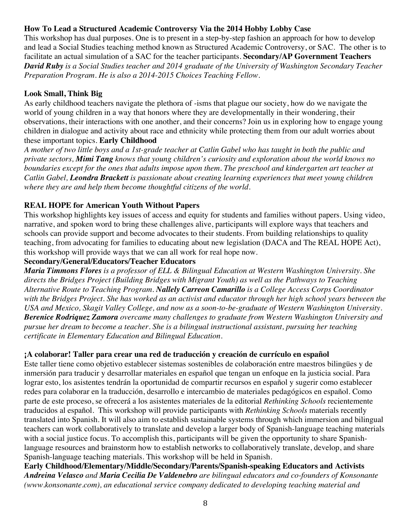#### **How To Lead a Structured Academic Controversy Via the 2014 Hobby Lobby Case**

This workshop has dual purposes. One is to present in a step-by-step fashion an approach for how to develop and lead a Social Studies teaching method known as Structured Academic Controversy, or SAC. The other is to facilitate an actual simulation of a SAC for the teacher participants. **Secondary/AP Government Teachers** *David Ruby is a Social Studies teacher and 2014 graduate of the University of Washington Secondary Teacher Preparation Program. He is also a 2014-2015 Choices Teaching Fellow.*

#### **Look Small, Think Big**

As early childhood teachers navigate the plethora of -isms that plague our society, how do we navigate the world of young children in a way that honors where they are developmentally in their wondering, their observations, their interactions with one another, and their concerns? Join us in exploring how to engage young children in dialogue and activity about race and ethnicity while protecting them from our adult worries about these important topics. **Early Childhood** 

*A mother of two little boys and a 1st-grade teacher at Catlin Gabel who has taught in both the public and private sectors, Mimi Tang knows that young children's curiosity and exploration about the world knows no boundaries except for the ones that adults impose upon them. The preschool and kindergarten art teacher at Catlin Gabel, Leondra Brackett is passionate about creating learning experiences that meet young children where they are and help them become thoughtful citizens of the world.*

#### **REAL HOPE for American Youth Without Papers**

This workshop highlights key issues of access and equity for students and families without papers. Using video, narrative, and spoken word to bring these challenges alive, participants will explore ways that teachers and schools can provide support and become advocates to their students. From building relationships to quality teaching, from advocating for families to educating about new legislation (DACA and The REAL HOPE Act), this workshop will provide ways that we can all work for real hope now.

#### **Secondary/General/Educators/Teacher Educators**

*Maria Timmons Flores is a professor of ELL & Bilingual Education at Western Washington University. She directs the Bridges Project (Building Bridges with Migrant Youth) as well as the Pathways to Teaching Alternative Route to Teaching Program. Nallely Carreon Camarillo is a College Access Corps Coordinator with the Bridges Project. She has worked as an activist and educator through her high school years between the USA and Mexico, Skagit Valley College, and now as a soon-to-be-graduate of Western Washington University. Berenice Rodriquez Zamora overcame many challenges to graduate from Western Washington University and pursue her dream to become a teacher. She is a bilingual instructional assistant, pursuing her teaching certificate in Elementary Education and Bilingual Education.*

#### **¡A colaborar! Taller para crear una red de traducción y creación de currículo en español**

Este taller tiene como objetivo establecer sistemas sostenibles de colaboración entre maestros bilingües y de inmersión para traducir y desarrollar materiales en español que tengan un enfoque en la justicia social. Para lograr esto, los asistentes tendrán la oportunidad de compartir recursos en español y sugerir como establecer redes para colaborar en la traducción, desarrollo e intercambio de materiales pedagógicos en español. Como parte de este proceso, se ofrecerá a los asistentes materiales de la editorial *Rethinking Schools* recientemente traducidos al español. This workshop will provide participants with *Rethinking Schools* materials recently translated into Spanish. It will also aim to establish sustainable systems through which immersion and bilingual teachers can work collaboratively to translate and develop a larger body of Spanish-language teaching materials with a social justice focus. To accomplish this, participants will be given the opportunity to share Spanishlanguage resources and brainstorm how to establish networks to collaboratively translate, develop, and share Spanish-language teaching materials. This workshop will be held in Spanish.

**Early Childhood/Elementary/Middle/Secondary/Parents/Spanish-speaking Educators and Activists** *Andreina Velasco and Maria Cecilia De Valdenebro are bilingual educators and co-founders of Konsonante (www.konsonante.com), an educational service company dedicated to developing teaching material and*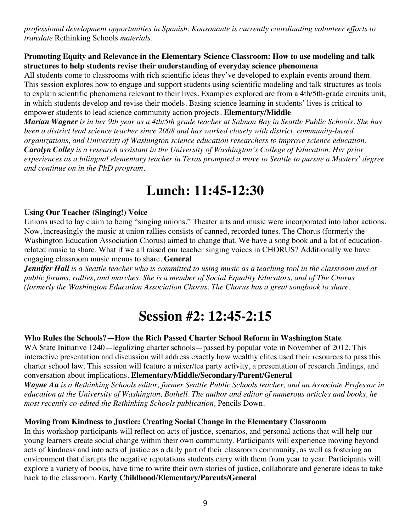*professional development opportunities in Spanish. Konsonante is currently coordinating volunteer efforts to translate* Rethinking Schools *materials.*

#### **Promoting Equity and Relevance in the Elementary Science Classroom: How to use modeling and talk structures to help students revise their understanding of everyday science phenomena**

All students come to classrooms with rich scientific ideas they've developed to explain events around them. This session explores how to engage and support students using scientific modeling and talk structures as tools to explain scientific phenomena relevant to their lives. Examples explored are from a 4th/5th-grade circuits unit, in which students develop and revise their models. Basing science learning in students' lives is critical to empower students to lead science community action projects. **Elementary/Middle**

*Marian Wagner is in her 9th year as a 4th/5th grade teacher at Salmon Bay in Seattle Public Schools. She has been a district lead science teacher since 2008 and has worked closely with district, community-based organizations, and University of Washington science education researchers to improve science education. Carolyn Colley is a research assistant in the University of Washington's College of Education. Her prior experiences as a bilingual elementary teacher in Texas prompted a move to Seattle to pursue a Masters' degree and continue on in the PhD program.*

### **Lunch: 11:45-12:30**

#### **Using Our Teacher (Singing!) Voice**

Unions used to lay claim to being "singing unions." Theater arts and music were incorporated into labor actions. Now, increasingly the music at union rallies consists of canned, recorded tunes. The Chorus (formerly the Washington Education Association Chorus) aimed to change that. We have a song book and a lot of educationrelated music to share. What if we all raised our teacher singing voices in CHORUS? Additionally we have engaging classroom music menus to share. **General**

*Jennifer Hall is a Seattle teacher who is committed to using music as a teaching tool in the classroom and at public forums, rallies, and marches. She is a member of Social Equality Educators, and of The Chorus (formerly the Washington Education Association Chorus. The Chorus has a great songbook to share.*

### **Session #2: 12:45-2:15**

#### **Who Rules the Schools?—How the Rich Passed Charter School Reform in Washington State**

WA State Initiative 1240—legalizing charter schools—passed by popular vote in November of 2012. This interactive presentation and discussion will address exactly how wealthy elites used their resources to pass this charter school law. This session will feature a mixer/tea party activity, a presentation of research findings, and conversation about implications. **Elementary/Middle/Secondary/Parent/General**

*Wayne Au is a Rethinking Schools editor, former Seattle Public Schools teacher, and an Associate Professor in education at the University of Washington, Bothell. The author and editor of numerous articles and books, he most recently co-edited the Rethinking Schools publication, Pencils Down.* 

#### **Moving from Kindness to Justice: Creating Social Change in the Elementary Classroom**

In this workshop participants will reflect on acts of justice, scenarios, and personal actions that will help our young learners create social change within their own community. Participants will experience moving beyond acts of kindness and into acts of justice as a daily part of their classroom community, as well as fostering an environment that disrupts the negative reputations students carry with them from year to year. Participants will explore a variety of books, have time to write their own stories of justice, collaborate and generate ideas to take back to the classroom. **Early Childhood/Elementary/Parents/General**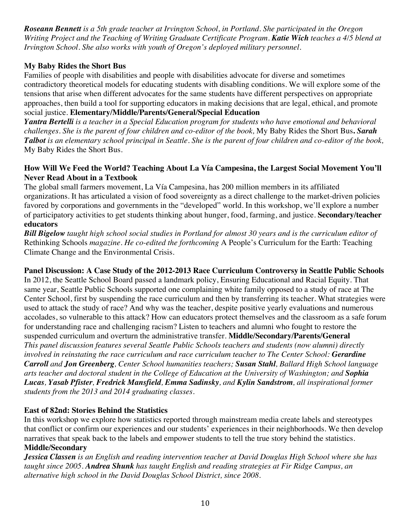*Roseann Bennett is a 5th grade teacher at Irvington School, in Portland. She participated in the Oregon Writing Project and the Teaching of Writing Graduate Certificate Program. Katie Wich teaches a 4/5 blend at Irvington School. She also works with youth of Oregon's deployed military personnel.*

#### **My Baby Rides the Short Bus**

Families of people with disabilities and people with disabilities advocate for diverse and sometimes contradictory theoretical models for educating students with disabling conditions. We will explore some of the tensions that arise when different advocates for the same students have different perspectives on appropriate approaches, then build a tool for supporting educators in making decisions that are legal, ethical, and promote social justice. **Elementary/Middle/Parents/General/Special Education**

*Yantra Bertelli is a teacher in a Special Education program for students who have emotional and behavioral challenges. She is the parent of four children and co-editor of the book,* My Baby Rides the Short Bus**.** *Sarah Talbot is an elementary school principal in Seattle. She is the parent of four children and co-editor of the book,*  My Baby Rides the Short Bus.

#### **How Will We Feed the World? Teaching About La Vía Campesina, the Largest Social Movement You'll Never Read About in a Textbook**

The global small farmers movement, La Vía Campesina, has 200 million members in its affiliated organizations. It has articulated a vision of food sovereignty as a direct challenge to the market-driven policies favored by corporations and governments in the "developed" world. In this workshop, we'll explore a number of participatory activities to get students thinking about hunger, food, farming, and justice. **Secondary/teacher educators**

*Bill Bigelow taught high school social studies in Portland for almost 30 years and is the curriculum editor of*  Rethinking Schools *magazine. He co-edited the forthcoming* A People's Curriculum for the Earth: Teaching Climate Change and the Environmental Crisis.

#### **Panel Discussion: A Case Study of the 2012-2013 Race Curriculum Controversy in Seattle Public Schools**

In 2012, the Seattle School Board passed a landmark policy, Ensuring Educational and Racial Equity. That same year, Seattle Public Schools supported one complaining white family opposed to a study of race at The Center School, first by suspending the race curriculum and then by transferring its teacher. What strategies were used to attack the study of race? And why was the teacher, despite positive yearly evaluations and numerous accolades, so vulnerable to this attack? How can educators protect themselves and the classroom as a safe forum for understanding race and challenging racism? Listen to teachers and alumni who fought to restore the suspended curriculum and overturn the administrative transfer. **Middle/Secondary/Parents/General** *This panel discussion features several Seattle Public Schools teachers and students (now alumni) directly involved in reinstating the race curriculum and race curriculum teacher to The Center School: Gerardine Carroll and Jon Greenberg, Center School humanities teachers; Susan Stahl, Ballard High School language arts teacher and doctoral student in the College of Education at the University of Washington; and Sophia Lucas, Yasab Pfister, Fredrick Mansfield, Emma Sadinsky, and Kylin Sandstrom, all inspirational former students from the 2013 and 2014 graduating classes.*

#### **East of 82nd: Stories Behind the Statistics**

In this workshop we explore how statistics reported through mainstream media create labels and stereotypes that conflict or confirm our experiences and our students' experiences in their neighborhoods. We then develop narratives that speak back to the labels and empower students to tell the true story behind the statistics. **Middle/Secondary**

*Jessica Classen is an English and reading intervention teacher at David Douglas High School where she has taught since 2005. Andrea Shunk has taught English and reading strategies at Fir Ridge Campus, an alternative high school in the David Douglas School District, since 2008.*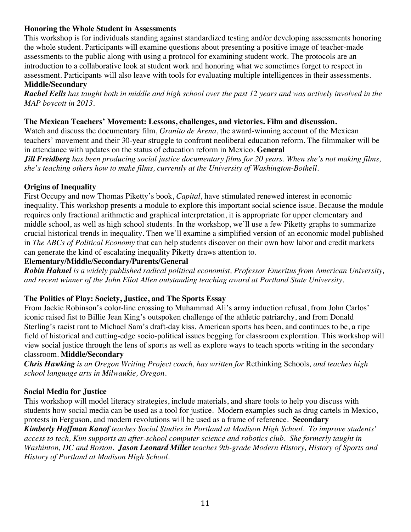#### **Honoring the Whole Student in Assessments**

This workshop is for individuals standing against standardized testing and/or developing assessments honoring the whole student. Participants will examine questions about presenting a positive image of teacher-made assessments to the public along with using a protocol for examining student work. The protocols are an introduction to a collaborative look at student work and honoring what we sometimes forget to respect in assessment. Participants will also leave with tools for evaluating multiple intelligences in their assessments.

#### **Middle/Secondary**

*Rachel Eells has taught both in middle and high school over the past 12 years and was actively involved in the MAP boycott in 2013.*

#### **The Mexican Teachers' Movement: Lessons, challenges, and victories. Film and discussion.**

Watch and discuss the documentary film, *Granito de Arena*, the award-winning account of the Mexican teachers' movement and their 30-year struggle to confront neoliberal education reform. The filmmaker will be in attendance with updates on the status of education reform in Mexico. **General**

*Jill Freidberg has been producing social justice documentary films for 20 years. When she's not making films, she's teaching others how to make films, currently at the University of Washington-Bothell.*

#### **Origins of Inequality**

First Occupy and now Thomas Piketty's book, *Capital*, have stimulated renewed interest in economic inequality. This workshop presents a module to explore this important social science issue. Because the module requires only fractional arithmetic and graphical interpretation, it is appropriate for upper elementary and middle school, as well as high school students. In the workshop, we'll use a few Piketty graphs to summarize crucial historical trends in inequality. Then we'll examine a simplified version of an economic model published in *The ABCs of Political Economy* that can help students discover on their own how labor and credit markets can generate the kind of escalating inequality Piketty draws attention to.

#### **Elementary/Middle/Secondary/Parents/General**

*Robin Hahnel is a widely published radical political economist, Professor Emeritus from American University, and recent winner of the John Eliot Allen outstanding teaching award at Portland State University.*

#### **The Politics of Play: Society, Justice, and The Sports Essay**

From Jackie Robinson's color-line crossing to Muhammad Ali's army induction refusal, from John Carlos' iconic raised fist to Billie Jean King's outspoken challenge of the athletic patriarchy, and from Donald Sterling's racist rant to Michael Sam's draft-day kiss, American sports has been, and continues to be, a ripe field of historical and cutting-edge socio-political issues begging for classroom exploration. This workshop will view social justice through the lens of sports as well as explore ways to teach sports writing in the secondary classroom. **Middle/Secondary**

*Chris Hawking is an Oregon Writing Project coach, has written for* Rethinking Schools*, and teaches high school language arts in Milwaukie, Oregon.*

#### **Social Media for Justice**

This workshop will model literacy strategies, include materials, and share tools to help you discuss with students how social media can be used as a tool for justice. Modern examples such as drug cartels in Mexico, protests in Ferguson, and modern revolutions will be used as a frame of reference. **Secondary**

*Kimberly Hoffman Kanof teaches Social Studies in Portland at Madison High School. To improve students' access to tech, Kim supports an after-school computer science and robotics club. She formerly taught in Washinton, DC and Boston. Jason Leonard Miller teaches 9th-grade Modern History, History of Sports and History of Portland at Madison High School.*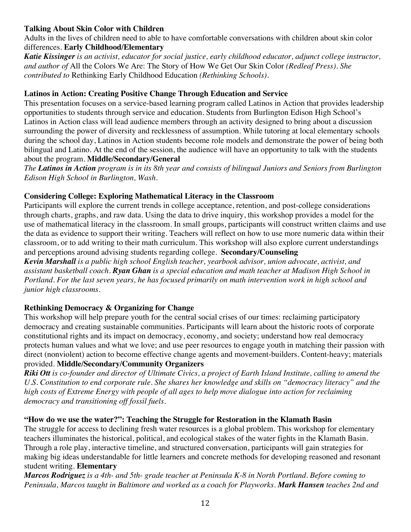#### **Talking About Skin Color with Children**

Adults in the lives of children need to able to have comfortable conversations with children about skin color differences. **Early Childhood/Elementary**

*Katie Kissinger is an activist, educator for social justice, early childhood educator, adjunct college instructor, and author of* All the Colors We Are: The Story of How We Get Our Skin Color *(Redleaf Press). She contributed to* Rethinking Early Childhood Education *(Rethinking Schools).*

#### **Latinos in Action: Creating Positive Change Through Education and Service**

This presentation focuses on a service-based learning program called Latinos in Action that provides leadership opportunities to students through service and education. Students from Burlington Edison High School's Latinos in Action class will lead audience members through an activity designed to bring about a discussion surrounding the power of diversity and recklessness of assumption. While tutoring at local elementary schools during the school day, Latinos in Action students become role models and demonstrate the power of being both bilingual and Latino. At the end of the session, the audience will have an opportunity to talk with the students about the program. **Middle/Secondary/General**

*The Latinos in Action program is in its 8th year and consists of bilingual Juniors and Seniors from Burlington Edison High School in Burlington, Wash.*

#### **Considering College: Exploring Mathematical Literacy in the Classroom**

Participants will explore the current trends in college acceptance, retention, and post-college considerations through charts, graphs, and raw data. Using the data to drive inquiry, this workshop provides a model for the use of mathematical literacy in the classroom. In small groups, participants will construct written claims and use the data as evidence to support their writing. Teachers will reflect on how to use more numeric data within their classroom, or to add writing to their math curriculum. This workshop will also explore current understandings and perceptions around advising students regarding college. **Secondary/Counseling**

*Kevin Marshall is a public high school English teacher, yearbook advisor, union advocate, activist, and assistant basketball coach*. *Ryan Ghan is a special education and math teacher at Madison High School in Portland. For the last seven years, he has focused primarily on math intervention work in high school and junior high classrooms.*

#### **Rethinking Democracy & Organizing for Change**

This workshop will help prepare youth for the central social crises of our times: reclaiming participatory democracy and creating sustainable communities. Participants will learn about the historic roots of corporate constitutional rights and its impact on democracy, economy, and society; understand how real democracy protects human values and what we love; and use peer resources to engage youth in matching their passion with direct (nonviolent) action to become effective change agents and movement-builders. Content-heavy; materials provided. **Middle/Secondary/Community Organizers**

*Riki Ott is co-founder and director of Ultimate Civics, a project of Earth Island Institute, calling to amend the U.S. Constitution to end corporate rule. She shares her knowledge and skills on "democracy literacy" and the high costs of Extreme Energy with people of all ages to help move dialogue into action for reclaiming democracy and transitioning off fossil fuels.*

#### **"How do we use the water?": Teaching the Struggle for Restoration in the Klamath Basin**

The struggle for access to declining fresh water resources is a global problem. This workshop for elementary teachers illuminates the historical, political, and ecological stakes of the water fights in the Klamath Basin. Through a role play, interactive timeline, and structured conversation, participants will gain strategies for making big ideas understandable for little learners and concrete methods for developing reasoned and resonant student writing. **Elementary**

*Marcos Rodriguez is a 4th- and 5th- grade teacher at Peninsula K-8 in North Portland. Before coming to Peninsula, Marcos taught in Baltimore and worked as a coach for Playworks. Mark Hansen teaches 2nd and*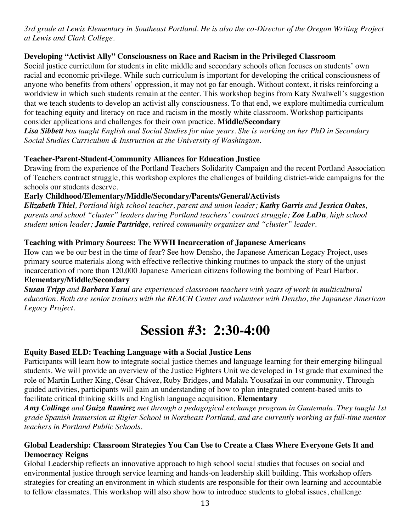*3rd grade at Lewis Elementary in Southeast Portland. He is also the co-Director of the Oregon Writing Project at Lewis and Clark College.*

#### **Developing "Activist Ally" Consciousness on Race and Racism in the Privileged Classroom**

Social justice curriculum for students in elite middle and secondary schools often focuses on students' own racial and economic privilege. While such curriculum is important for developing the critical consciousness of anyone who benefits from others' oppression, it may not go far enough. Without context, it risks reinforcing a worldview in which such students remain at the center. This workshop begins from Katy Swalwell's suggestion that we teach students to develop an activist ally consciousness. To that end, we explore multimedia curriculum for teaching equity and literacy on race and racism in the mostly white classroom. Workshop participants consider applications and challenges for their own practice. **Middle/Secondary**

*Lisa Sibbett has taught English and Social Studies for nine years. She is working on her PhD in Secondary Social Studies Curriculum & Instruction at the University of Washington.*

#### **Teacher-Parent-Student-Community Alliances for Education Justice**

Drawing from the experience of the Portland Teachers Solidarity Campaign and the recent Portland Association of Teachers contract struggle, this workshop explores the challenges of building district-wide campaigns for the schools our students deserve.

#### **Early Childhood/Elementary/Middle/Secondary/Parents/General/Activists**

*Elizabeth Thiel, Portland high school teacher, parent and union leader; Kathy Garris and Jessica Oakes, parents and school "cluster" leaders during Portland teachers' contract struggle; Zoe LaDu, high school student union leader; Jamie Partridge, retired community organizer and "cluster" leader.*

#### **Teaching with Primary Sources: The WWII Incarceration of Japanese Americans**

How can we be our best in the time of fear? See how Densho, the Japanese American Legacy Project, uses primary source materials along with effective reflective thinking routines to unpack the story of the unjust incarceration of more than 120,000 Japanese American citizens following the bombing of Pearl Harbor. **Elementary/Middle/Secondary**

*Susan Tripp and Barbara Yasui are experienced classroom teachers with years of work in multicultural education. Both are senior trainers with the REACH Center and volunteer with Densho, the Japanese American Legacy Project.*

### **Session #3: 2:30-4:00**

#### **Equity Based ELD: Teaching Language with a Social Justice Lens**

Participants will learn how to integrate social justice themes and language learning for their emerging bilingual students. We will provide an overview of the Justice Fighters Unit we developed in 1st grade that examined the role of Martin Luther King, César Chávez, Ruby Bridges, and Malala Yousafzai in our community. Through guided activities, participants will gain an understanding of how to plan integrated content-based units to facilitate critical thinking skills and English language acquisition. **Elementary**

*Amy Collinge and Guiza Ramirez met through a pedagogical exchange program in Guatemala. They taught 1st grade Spanish Immersion at Rigler School in Northeast Portland, and are currently working as full-time mentor teachers in Portland Public Schools.*

#### **Global Leadership: Classroom Strategies You Can Use to Create a Class Where Everyone Gets It and Democracy Reigns**

Global Leadership reflects an innovative approach to high school social studies that focuses on social and environmental justice through service learning and hands-on leadership skill building. This workshop offers strategies for creating an environment in which students are responsible for their own learning and accountable to fellow classmates. This workshop will also show how to introduce students to global issues, challenge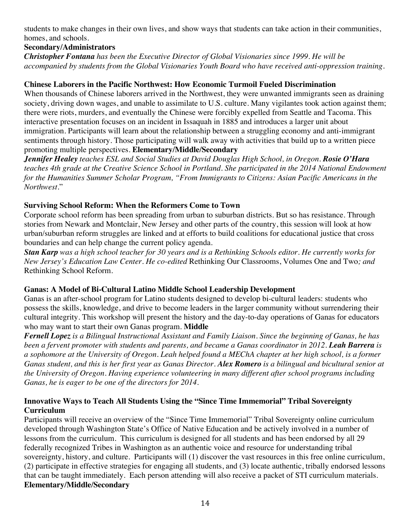students to make changes in their own lives, and show ways that students can take action in their communities, homes, and schools.

#### **Secondary/Administrators**

*Christopher Fontana has been the Executive Director of Global Visionaries since 1999. He will be accompanied by students from the Global Visionaries Youth Board who have received anti-oppression training.*

#### **Chinese Laborers in the Pacific Northwest: How Economic Turmoil Fueled Discrimination**

When thousands of Chinese laborers arrived in the Northwest, they were unwanted immigrants seen as draining society, driving down wages, and unable to assimilate to U.S. culture. Many vigilantes took action against them; there were riots, murders, and eventually the Chinese were forcibly expelled from Seattle and Tacoma. This interactive presentation focuses on an incident in Issaquah in 1885 and introduces a larger unit about immigration. Participants will learn about the relationship between a struggling economy and anti-immigrant sentiments through history. Those participating will walk away with activities that build up to a written piece promoting multiple perspectives. **Elementary/Middle/Secondary**

*Jennifer Healey teaches ESL and Social Studies at David Douglas High School, in Oregon. Rosie O'Hara teaches 4th grade at the Creative Science School in Portland. She participated in the 2014 National Endowment for the Humanities Summer Scholar Program, "From Immigrants to Citizens: Asian Pacific Americans in the Northwest.*"

#### **Surviving School Reform: When the Reformers Come to Town**

Corporate school reform has been spreading from urban to suburban districts. But so has resistance. Through stories from Newark and Montclair, New Jersey and other parts of the country, this session will look at how urban/suburban reform struggles are linked and at efforts to build coalitions for educational justice that cross boundaries and can help change the current policy agenda.

*Stan Karp was a high school teacher for 30 years and is a Rethinking Schools editor. He currently works for New Jersey's Education Law Center. He co-edited* Rethinking Our Classrooms, Volumes One and Two*; and*  Rethinking School Reform*.* 

#### **Ganas: A Model of Bi-Cultural Latino Middle School Leadership Development**

Ganas is an after-school program for Latino students designed to develop bi-cultural leaders: students who possess the skills, knowledge, and drive to become leaders in the larger community without surrendering their cultural integrity. This workshop will present the history and the day-to-day operations of Ganas for educators who may want to start their own Ganas program. **Middle** 

*Fernell Lopez is a Bilingual Instructional Assistant and Family Liaison. Since the beginning of Ganas, he has been a fervent promoter with students and parents, and became a Ganas coordinator in 2012. Leah Barrera is a sophomore at the University of Oregon. Leah helped found a MEChA chapter at her high school, is a former Ganas student, and this is her first year as Ganas Director. Alex Romero is a bilingual and bicultural senior at the University of Oregon. Having experience volunteering in many different after school programs including Ganas, he is eager to be one of the directors for 2014.*

#### **Innovative Ways to Teach All Students Using the "Since Time Immemorial" Tribal Sovereignty Curriculum**

Participants will receive an overview of the "Since Time Immemorial" Tribal Sovereignty online curriculum developed through Washington State's Office of Native Education and be actively involved in a number of lessons from the curriculum. This curriculum is designed for all students and has been endorsed by all 29 federally recognized Tribes in Washington as an authentic voice and resource for understanding tribal sovereignty, history, and culture. Participants will (1) discover the vast resources in this free online curriculum, (2) participate in effective strategies for engaging all students, and (3) locate authentic, tribally endorsed lessons that can be taught immediately. Each person attending will also receive a packet of STI curriculum materials. **Elementary/Middle/Secondary**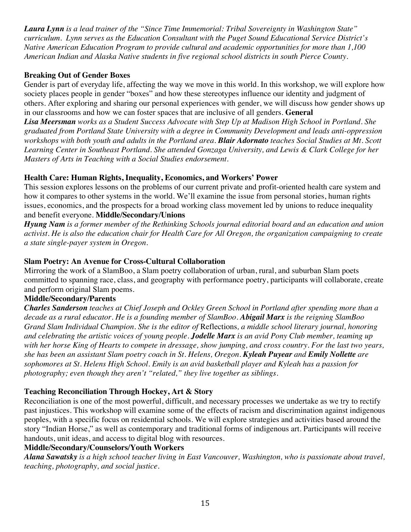*Laura Lynn is a lead trainer of the "Since Time Immemorial: Tribal Sovereignty in Washington State" curriculum. Lynn serves as the Education Consultant with the Puget Sound Educational Service District's Native American Education Program to provide cultural and academic opportunities for more than 1,100 American Indian and Alaska Native students in five regional school districts in south Pierce County.* 

#### **Breaking Out of Gender Boxes**

Gender is part of everyday life, affecting the way we move in this world. In this workshop, we will explore how society places people in gender "boxes" and how these stereotypes influence our identity and judgment of others. After exploring and sharing our personal experiences with gender, we will discuss how gender shows up in our classrooms and how we can foster spaces that are inclusive of all genders. **General**

*Lisa Meersman works as a Student Success Advocate with Step Up at Madison High School in Portland. She graduated from Portland State University with a degree in Community Development and leads anti-oppression workshops with both youth and adults in the Portland area. Blair Adornato teaches Social Studies at Mt. Scott Learning Center in Southeast Portland. She attended Gonzaga University, and Lewis & Clark College for her Masters of Arts in Teaching with a Social Studies endorsement.*

#### **Health Care: Human Rights, Inequality, Economics, and Workers' Power**

This session explores lessons on the problems of our current private and profit-oriented health care system and how it compares to other systems in the world. We'll examine the issue from personal stories, human rights issues, economics, and the prospects for a broad working class movement led by unions to reduce inequality and benefit everyone. **Middle/Secondary/Unions**

*Hyung Nam is a former member of the Rethinking Schools journal editorial board and an education and union activist. He is also the education chair for Health Care for All Oregon, the organization campaigning to create a state single-payer system in Oregon.*

#### **Slam Poetry: An Avenue for Cross-Cultural Collaboration**

Mirroring the work of a SlamBoo, a Slam poetry collaboration of urban, rural, and suburban Slam poets committed to spanning race, class, and geography with performance poetry, participants will collaborate, create and perform original Slam poems.

#### **Middle/Secondary/Parents**

*Charles Sanderson teaches at Chief Joseph and Ockley Green School in Portland after spending more than a decade as a rural educator. He is a founding member of SlamBoo. Abigail Marx is the reigning SlamBoo Grand Slam Individual Champion. She is the editor of* Reflections*, a middle school literary journal, honoring and celebrating the artistic voices of young people. Jodelle Marx is an avid Pony Club member, teaming up with her horse King of Hearts to compete in dressage, show jumping, and cross country. For the last two years, she has been an assistant Slam poetry coach in St. Helens, Oregon. Kyleah Puyear and Emily Nollette are sophomores at St. Helens High School. Emily is an avid basketball player and Kyleah has a passion for photography; even though they aren't "related," they live together as siblings.*

#### **Teaching Reconciliation Through Hockey, Art & Story**

Reconciliation is one of the most powerful, difficult, and necessary processes we undertake as we try to rectify past injustices. This workshop will examine some of the effects of racism and discrimination against indigenous peoples, with a specific focus on residential schools. We will explore strategies and activities based around the story "Indian Horse," as well as contemporary and traditional forms of indigenous art. Participants will receive handouts, unit ideas, and access to digital blog with resources.

#### **Middle/Secondary/Counselors/Youth Workers**

*Alana Sawatsky is a high school teacher living in East Vancouver, Washington, who is passionate about travel, teaching, photography, and social justice.*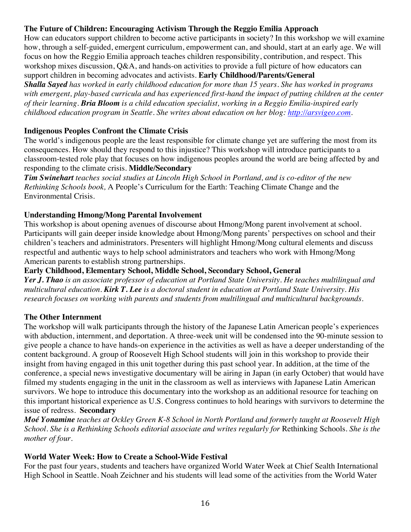#### **The Future of Children: Encouraging Activism Through the Reggio Emilia Approach**

How can educators support children to become active participants in society? In this workshop we will examine how, through a self-guided, emergent curriculum, empowerment can, and should, start at an early age. We will focus on how the Reggio Emilia approach teaches children responsibility, contribution, and respect. This workshop mixes discussion, Q&A, and hands-on activities to provide a full picture of how educators can support children in becoming advocates and activists. **Early Childhood/Parents/General** 

*Shalla Sayed has worked in early childhood education for more than 15 years. She has worked in programs with emergent, play-based curricula and has experienced first-hand the impact of putting children at the center of their learning. Bria Bloom is a child education specialist, working in a Reggio Emilia-inspired early childhood education program in Seattle. She writes about education on her blog: http://arsvigeo.com.*

#### **Indigenous Peoples Confront the Climate Crisis**

The world's indigenous people are the least responsible for climate change yet are suffering the most from its consequences. How should they respond to this injustice? This workshop will introduce participants to a classroom-tested role play that focuses on how indigenous peoples around the world are being affected by and responding to the climate crisis. **Middle/Secondary** 

*Tim Swinehart teaches social studies at Lincoln High School in Portland, and is co-editor of the new Rethinking Schools book,* A People's Curriculum for the Earth: Teaching Climate Change and the Environmental Crisis.

#### **Understanding Hmong/Mong Parental Involvement**

This workshop is about opening avenues of discourse about Hmong/Mong parent involvement at school. Participants will gain deeper inside knowledge about Hmong/Mong parents' perspectives on school and their children's teachers and administrators. Presenters will highlight Hmong/Mong cultural elements and discuss respectful and authentic ways to help school administrators and teachers who work with Hmong/Mong American parents to establish strong partnerships.

#### **Early Childhood, Elementary School, Middle School, Secondary School, General**

*Yer J. Thao is an associate professor of education at Portland State University. He teaches multilingual and multicultural education. Kirk T. Lee is a doctoral student in education at Portland State University. His research focuses on working with parents and students from multilingual and multicultural backgrounds.*

#### **The Other Internment**

The workshop will walk participants through the history of the Japanese Latin American people's experiences with abduction, internment, and deportation. A three-week unit will be condensed into the 90-minute session to give people a chance to have hands-on experience in the activities as well as have a deeper understanding of the content background. A group of Roosevelt High School students will join in this workshop to provide their insight from having engaged in this unit together during this past school year. In addition, at the time of the conference, a special news investigative documentary will be airing in Japan (in early October) that would have filmed my students engaging in the unit in the classroom as well as interviews with Japanese Latin American survivors. We hope to introduce this documentary into the workshop as an additional resource for teaching on this important historical experience as U.S. Congress continues to hold hearings with survivors to determine the issue of redress. **Secondary**

*Moé Yonamine teaches at Ockley Green K-8 School in North Portland and formerly taught at Roosevelt High School. She is a Rethinking Schools editorial associate and writes regularly for* Rethinking Schools*. She is the mother of four.*

#### **World Water Week: How to Create a School-Wide Festival**

For the past four years, students and teachers have organized World Water Week at Chief Sealth International High School in Seattle. Noah Zeichner and his students will lead some of the activities from the World Water